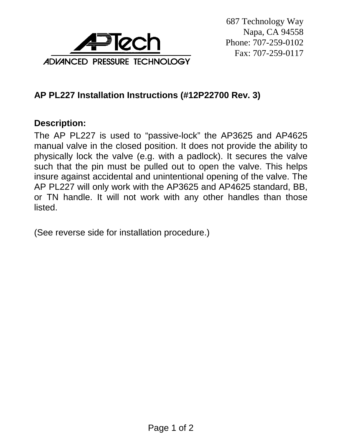

## **AP PL227 Installation Instructions (#12P22700 Rev. 3)**

## **Description:**

The AP PL227 is used to "passive-lock" the AP3625 and AP4625 manual valve in the closed position. It does not provide the ability to physically lock the valve (e.g. with a padlock). It secures the valve such that the pin must be pulled out to open the valve. This helps insure against accidental and unintentional opening of the valve. The AP PL227 will only work with the AP3625 and AP4625 standard, BB, or TN handle. It will not work with any other handles than those listed.

(See reverse side for installation procedure.)